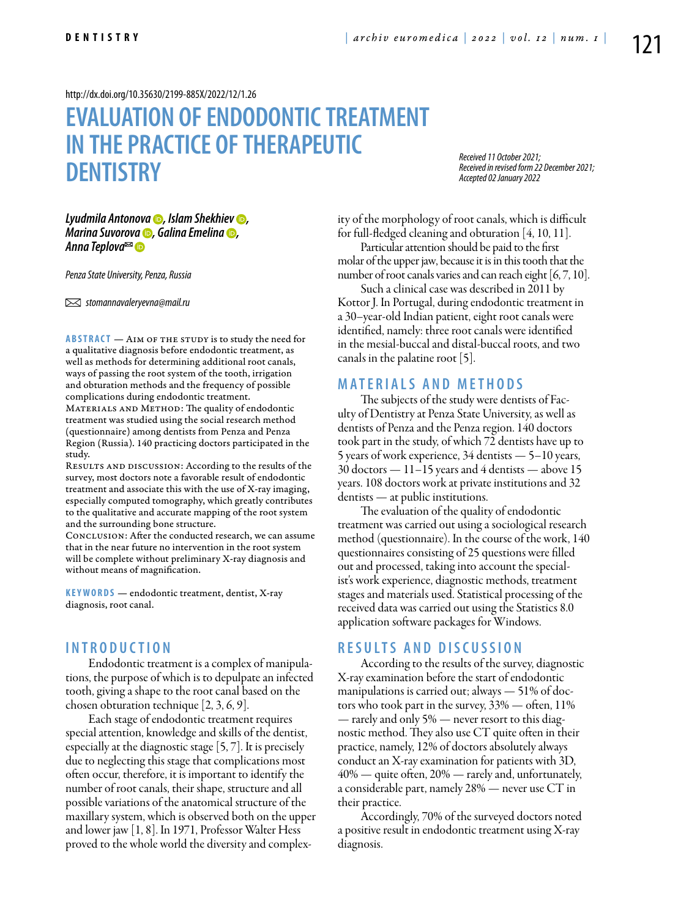<http://dx.doi.org/10.35630/2199-885X/2022/12/1.26>

# **EVALUATION OF ENDODONTIC TREATMENT IN THE PRACTICE OF THERAPEUTIC DENTISTRY**

*Received 11 October 2021; Received in revised form 22 December 2021; Accepted 02 January 2022*

*[Lyudmila Antonova](https://orcid.org/0000-0002-5546-158X)* **•**, *Islam Shekhiev* •, *[Marina Suvorova](https://orcid.org/0000-0001-6315-9973)* **•**, [Galina Emelina](https://orcid.org/0000-0002-6085-5591) •, *[Anna Teplova](https://orcid.org/0000-0002-5785-5515)*

*Penza State University, Penza, Russia* 

 *stomannavaleryevna@mail.ru* 

**ABSTRACT** — AIM OF THE STUDY is to study the need for a qualitative diagnosis before endodontic treatment, as well as methods for determining additional root canals, ways of passing the root system of the tooth, irrigation and obturation methods and the frequency of possible complications during endodontic treatment.

MATERIALS AND METHOD: The quality of endodontic treatment was studied using the social research method (questionnaire) among dentists from Penza and Penza Region (Russia). 140 practicing doctors participated in the study.

RESULTS AND DISCUSSION: According to the results of the survey, most doctors note a favorable result of endodontic treatment and associate this with the use of X-ray imaging, especially computed tomography, which greatly contributes to the qualitative and accurate mapping of the root system and the surrounding bone structure.

Conclusion: After the conducted research, we can assume that in the near future no intervention in the root system will be complete without preliminary X-ray diagnosis and without means of magnification.

KEYWORDS — endodontic treatment, dentist, X-ray diagnosis, root canal.

#### **I n t r o d u ct i o n**

Endodontic treatment is a complex of manipulations, the purpose of which is to depulpate an infected tooth, giving a shape to the root canal based on the chosen obturation technique [2, 3, 6, 9].

Each stage of endodontic treatment requires special attention, knowledge and skills of the dentist, especially at the diagnostic stage [5, 7]. It is precisely due to neglecting this stage that complications most often occur, therefore, it is important to identify the number of root canals, their shape, structure and all possible variations of the anatomical structure of the maxillary system, which is observed both on the upper and lower jaw [1, 8]. In 1971, Professor Walter Hess proved to the whole world the diversity and complexity of the morphology of root canals, which is difficult for full-fledged cleaning and obturation [4, 10, 11].

Particular attention should be paid to the first molar of the upper jaw, because it is in this tooth that the number of root canals varies and can reach eight [6, 7, 10].

Such a clinical case was described in 2011 by Kottor J. In Portugal, during endodontic treatment in a 30–year-old Indian patient, eight root canals were identified, namely: three root canals were identified in the mesial-buccal and distal-buccal roots, and two canals in the palatine root [5].

### **MATERIALS AND METHODS**

The subjects of the study were dentists of Faculty of Dentistry at Penza State University, as well as dentists of Penza and the Penza region. 140 doctors took part in the study, of which 72 dentists have up to 5 years of work experience, 34 dentists — 5–10 years, 30 doctors — 11–15 years and 4 dentists — above 15 years. 108 doctors work at private institutions and 32 dentists — at public institutions.

The evaluation of the quality of endodontic treatment was carried out using a sociological research method (questionnaire). In the course of the work, 140 questionnaires consisting of 25 questions were filled out and processed, taking into account the specialist's work experience, diagnostic methods, treatment stages and materials used. Statistical processing of the received data was carried out using the Statistics 8.0 application software packages for Windows.

#### **R e s u l t s a n d D i sc u s s i o n**

According to the results of the survey, diagnostic X-ray examination before the start of endodontic manipulations is carried out; always — 51% of doctors who took part in the survey, 33% — often, 11% — rarely and only 5% — never resort to this diagnostic method. They also use CT quite often in their practice, namely, 12% of doctors absolutely always conduct an X-ray examination for patients with 3D, 40% — quite often, 20% — rarely and, unfortunately, a considerable part, namely 28% — never use CT in their practice.

Accordingly, 70% of the surveyed doctors noted a positive result in endodontic treatment using X-ray diagnosis.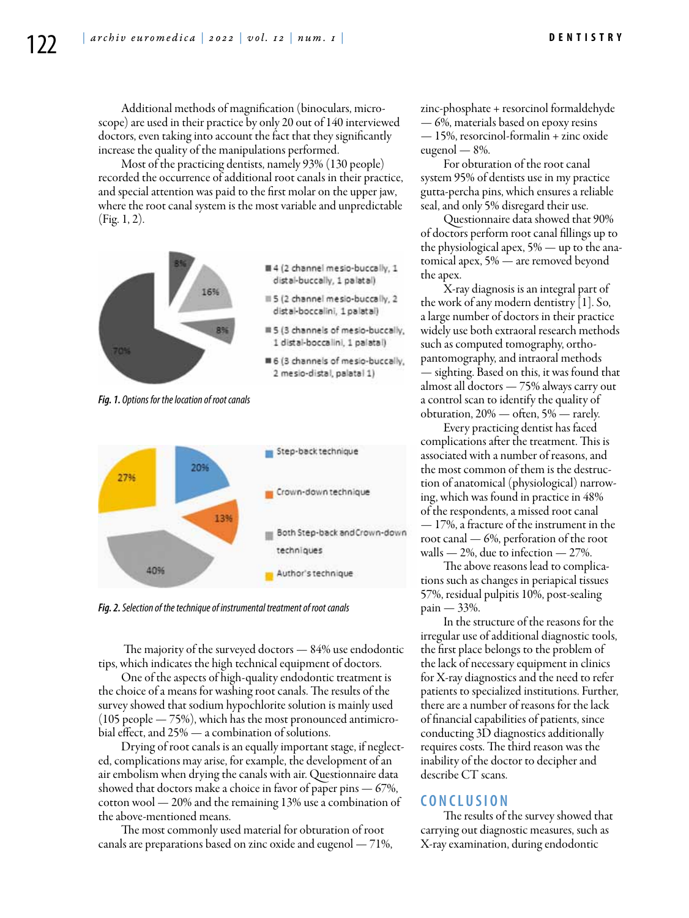Additional methods of magnification (binoculars, microscope) are used in their practice by only 20 out of 140 interviewed doctors, even taking into account the fact that they significantly increase the quality of the manipulations performed.

Most of the practicing dentists, namely 93% (130 people) recorded the occurrence of additional root canals in their practice, and special attention was paid to the first molar on the upper jaw, where the root canal system is the most variable and unpredictable (Fig. 1, 2).



*Fig. 1. Options for the location of root canals*



*Fig. 2. Selection of the technique of instrumental treatment of root canals*

 The majority of the surveyed doctors — 84% use endodontic tips, which indicates the high technical equipment of doctors.

One of the aspects of high-quality endodontic treatment is the choice of a means for washing root canals. The results of the survey showed that sodium hypochlorite solution is mainly used (105 people — 75%), which has the most pronounced antimicrobial effect, and 25% — a combination of solutions.

Drying of root canals is an equally important stage, if neglected, complications may arise, for example, the development of an air embolism when drying the canals with air. Questionnaire data showed that doctors make a choice in favor of paper pins  $-67%$ , cotton wool — 20% and the remaining 13% use a combination of the above-mentioned means.

The most commonly used material for obturation of root canals are preparations based on zinc oxide and eugenol — 71%, zinc-phosphate + resorcinol formaldehyde — 6%, materials based on epoxy resins — 15%, resorcinol-formalin + zinc oxide eugenol — 8%.

For obturation of the root canal system 95% of dentists use in my practice gutta-percha pins, which ensures a reliable seal, and only 5% disregard their use.

Questionnaire data showed that 90% of doctors perform root canal fillings up to the physiological apex, 5% — up to the anatomical apex, 5% — are removed beyond the apex.

X-ray diagnosis is an integral part of the work of any modern dentistry [1]. So, a large number of doctors in their practice widely use both extraoral research methods such as computed tomography, orthopantomography, and intraoral methods — sighting. Based on this, it was found that almost all doctors — 75% always carry out a control scan to identify the quality of obturation, 20% — often, 5% — rarely.

Every practicing dentist has faced complications after the treatment. This is associated with a number of reasons, and the most common of them is the destruction of anatomical (physiological) narrowing, which was found in practice in 48% of the respondents, a missed root canal — 17%, a fracture of the instrument in the root canal — 6%, perforation of the root walls  $-2\%$ , due to infection  $-27\%$ .

The above reasons lead to complications such as changes in periapical tissues 57%, residual pulpitis 10%, post-sealing pain — 33%.

In the structure of the reasons for the irregular use of additional diagnostic tools, the first place belongs to the problem of the lack of necessary equipment in clinics for X-ray diagnostics and the need to refer patients to specialized institutions. Further, there are a number of reasons for the lack of financial capabilities of patients, since conducting 3D diagnostics additionally requires costs. The third reason was the inability of the doctor to decipher and describe CT scans.

## **C o n cl u s i o n**

The results of the survey showed that carrying out diagnostic measures, such as X-ray examination, during endodontic